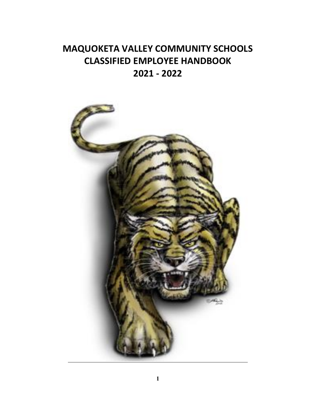# **MAQUOKETA VALLEY COMMUNITY SCHOOLS CLASSIFIED EMPLOYEE HANDBOOK 2021 - 2022**

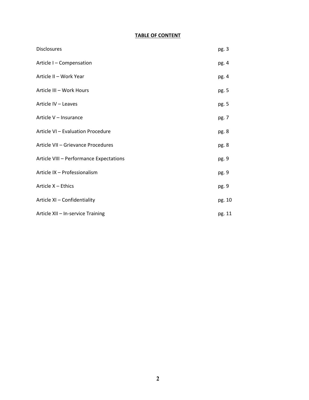# **TABLE OF CONTENT**

| <b>Disclosures</b>                      | pg. 3  |
|-----------------------------------------|--------|
| Article I - Compensation                | pg. 4  |
| Article II - Work Year                  | pg. 4  |
| Article III - Work Hours                | pg. 5  |
| Article IV - Leaves                     | pg. 5  |
| Article V - Insurance                   | pg. 7  |
| Article VI - Evaluation Procedure       | pg. 8  |
| Article VII - Grievance Procedures      | pg. 8  |
| Article VIII - Performance Expectations | pg. 9  |
| Article IX - Professionalism            | pg. 9  |
| Article X - Ethics                      | pg. 9  |
| Article XI - Confidentiality            | pg. 10 |
| Article XII - In-service Training       | pg. 11 |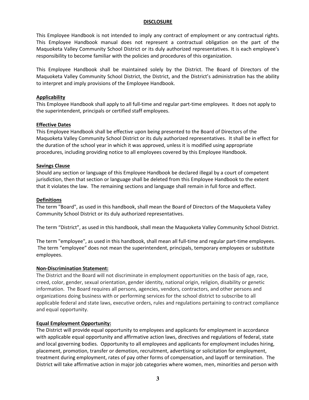#### **DISCLOSURE**

This Employee Handbook is not intended to imply any contract of employment or any contractual rights. This Employee Handbook manual does not represent a contractual obligation on the part of the Maquoketa Valley Community School District or its duly authorized representatives. It is each employee's responsibility to become familiar with the policies and procedures of this organization.

This Employee Handbook shall be maintained solely by the District. The Board of Directors of the Maquoketa Valley Community School District, the District, and the District's administration has the ability to interpret and imply provisions of the Employee Handbook.

#### **Applicability**

This Employee Handbook shall apply to all full-time and regular part-time employees. It does not apply to the superintendent, principals or certified staff employees.

#### **Effective Dates**

This Employee Handbook shall be effective upon being presented to the Board of Directors of the Maquoketa Valley Community School District or its duly authorized representatives. It shall be in effect for the duration of the school year in which it was approved, unless it is modified using appropriate procedures, including providing notice to all employees covered by this Employee Handbook.

#### **Savings Clause**

Should any section or language of this Employee Handbook be declared illegal by a court of competent jurisdiction, then that section or language shall be deleted from this Employee Handbook to the extent that it violates the law. The remaining sections and language shall remain in full force and effect.

#### **Definitions**

The term "Board", as used in this handbook, shall mean the Board of Directors of the Maquoketa Valley Community School District or its duly authorized representatives.

The term "District", as used in this handbook, shall mean the Maquoketa Valley Community School District.

The term "employee", as used in this handbook, shall mean all full-time and regular part-time employees. The term "employee" does not mean the superintendent, principals, temporary employees or substitute employees.

#### **Non-Discrimination Statement:**

The District and the Board will not discriminate in employment opportunities on the basis of age, race, creed, color, gender, sexual orientation, gender identity, national origin, religion, disability or genetic information. The Board requires all persons, agencies, vendors, contractors, and other persons and organizations doing business with or performing services for the school district to subscribe to all applicable federal and state laws, executive orders, rules and regulations pertaining to contract compliance and equal opportunity.

#### **Equal Employment Opportunity:**

The District will provide equal opportunity to employees and applicants for employment in accordance with applicable equal opportunity and affirmative action laws, directives and regulations of federal, state and local governing bodies. Opportunity to all employees and applicants for employment includes hiring, placement, promotion, transfer or demotion, recruitment, advertising or solicitation for employment, treatment during employment, rates of pay other forms of compensation, and layoff or termination. The District will take affirmative action in major job categories where women, men, minorities and person with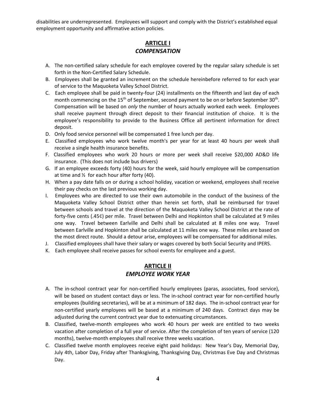disabilities are underrepresented. Employees will support and comply with the District's established equal employment opportunity and affirmative action policies.

# **ARTICLE I** *COMPENSATION*

- A. The non-certified salary schedule for each employee covered by the regular salary schedule is set forth in the Non-Certified Salary Schedule.
- B. Employees shall be granted an increment on the schedule hereinbefore referred to for each year of service to the Maquoketa Valley School District.
- C. Each employee shall be paid in twenty-four (24) installments on the fifteenth and last day of each month commencing on the 15<sup>th</sup> of September, second payment to be on or before September 30<sup>th</sup>. Compensation will be based on *only* the number of hours actually worked each week. Employees shall receive payment through direct deposit to their financial institution of choice. It is the employee's responsibility to provide to the Business Office all pertinent information for direct deposit.
- D. Only food service personnel will be compensated 1 free lunch per day.
- E. Classified employees who work twelve month's per year for at least 40 hours per week shall receive a single health insurance benefits.
- F. Classified employees who work 20 hours or more per week shall receive \$20,000 AD&D life insurance. (This does not include bus drivers)
- G. If an employee exceeds forty (40) hours for the week, said hourly employee will be compensation at time and  $\frac{1}{2}$  for each hour after forty (40).
- H. When a pay date falls on or during a school holiday, vacation or weekend, employees shall receive their pay checks on the last previous working day.
- I. Employees who are directed to use their own automobile in the conduct of the business of the Maquoketa Valley School District other than herein set forth, shall be reimbursed for travel between schools and travel at the direction of the Maquoketa Valley School District at the rate of forty-five cents (.45¢) per mile. Travel between Delhi and Hopkinton shall be calculated at 9 miles one way. Travel between Earlville and Delhi shall be calculated at 8 miles one way. Travel between Earlville and Hopkinton shall be calculated at 11 miles one way. These miles are based on the most direct route. Should a detour arise, employees will be compensated for additional miles.
- J. Classified employees shall have their salary or wages covered by both Social Security and IPERS.
- K. Each employee shall receive passes for school events for employee and a guest.

# **ARTICLE II** *EMPLOYEE WORK YEAR*

- A. The in-school contract year for non-certified hourly employees (paras, associates, food service), will be based on student contact days or less. The in-school contract year for non-certified hourly employees (building secretaries), will be at a minimum of 182 days. The in-school contract year for non-certified yearly employees will be based at a minimum of 240 days. Contract days may be adjusted during the current contract year due to extenuating circumstances.
- B. Classified, twelve-month employees who work 40 hours per week are entitled to two weeks vacation after completion of a full year of service. After the completion of ten years of service (120 months), twelve-month employees shall receive three weeks vacation.
- C. Classified twelve month employees receive eight paid holidays: New Year's Day, Memorial Day, July 4th, Labor Day, Friday after Thanksgiving, Thanksgiving Day, Christmas Eve Day and Christmas Day.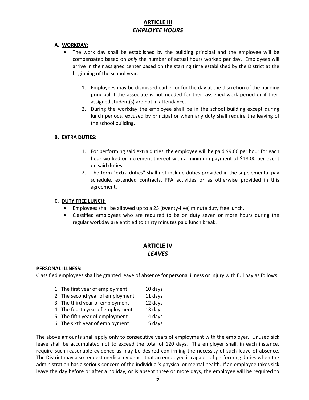# **ARTICLE III** *EMPLOYEE HOURS*

## **A. WORKDAY:**

- The work day shall be established by the building principal and the employee will be compensated based on *only* the number of actual hours worked per day. Employees will arrive in their assigned center based on the starting time established by the District at the beginning of the school year.
	- 1. Employees may be dismissed earlier or for the day at the discretion of the building principal if the associate is not needed for their assigned work period or if their assigned student(s) are not in attendance.
	- 2. During the workday the employee shall be in the school building except during lunch periods, excused by principal or when any duty shall require the leaving of the school building.

## **B. EXTRA DUTIES:**

- 1. For performing said extra duties, the employee will be paid \$9.00 per hour for each hour worked or increment thereof with a minimum payment of \$18.00 per event on said duties.
- 2. The term "extra duties" shall not include duties provided in the supplemental pay schedule, extended contracts, FFA activities or as otherwise provided in this agreement.

## **C. DUTY FREE LUNCH:**

- Employees shall be allowed up to a 25 (twenty-five) minute duty free lunch.
- Classified employees who are required to be on duty seven or more hours during the regular workday are entitled to thirty minutes paid lunch break.

# **ARTICLE IV** *LEAVES*

#### **PERSONAL ILLNESS:**

Classified employees shall be granted leave of absence for personal illness or injury with full pay as follows:

- 1. The first year of employment 10 days
- 2. The second year of employment 11 days
- 3. The third year of employment 12 days
- 4. The fourth year of employment 13 days
- 5. The fifth year of employment 14 days
- 6. The sixth year of employment 15 days

The above amounts shall apply only to consecutive years of employment with the employer. Unused sick leave shall be accumulated not to exceed the total of 120 days. The employer shall, in each instance, require such reasonable evidence as may be desired confirming the necessity of such leave of absence. The District may also request medical evidence that an employee is capable of performing duties when the administration has a serious concern of the individual's physical or mental health. If an employee takes sick leave the day before or after a holiday, or is absent three or more days, the employee will be required to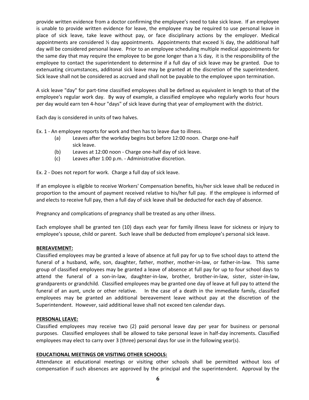provide written evidence from a doctor confirming the employee's need to take sick leave. If an employee is unable to provide written evidence for leave, the employee may be required to use personal leave in place of sick leave, take leave without pay, or face disciplinary actions by the employer. Medical appointments are considered  $\frac{1}{2}$  day appointments. Appointments that exceed  $\frac{1}{2}$  day, the additional half day will be considered personal leave. Prior to an employee scheduling multiple medical appointments for the same day that may require the employee to be gone longer than a  $\frac{1}{2}$  day, it is the responsibility of the employee to contact the superintendent to determine if a full day of sick leave may be granted. Due to extenuating circumstances, additonal sick leave may be granted at the discretion of the superintendent. Sick leave shall not be considered as accrued and shall not be payable to the employee upon termination.

A sick leave "day" for part-time classified employees shall be defined as equivalent in length to that of the employee's regular work day. By way of example, a classified employee who regularly works four hours per day would earn ten 4-hour "days" of sick leave during that year of employment with the district.

Each day is considered in units of two halves.

Ex. 1 - An employee reports for work and then has to leave due to illness.

- (a) Leaves after the workday begins but before 12:00 noon. Charge one-half sick leave.
- (b) Leaves at 12:00 noon Charge one-half day of sick leave.
- (c) Leaves after 1:00 p.m. Administrative discretion.

Ex. 2 - Does not report for work. Charge a full day of sick leave.

If an employee is eligible to receive Workers' Compensation benefits, his/her sick leave shall be reduced in proportion to the amount of payment received relative to his/her full pay. If the employee is informed of and elects to receive full pay, then a full day of sick leave shall be deducted for each day of absence.

Pregnancy and complications of pregnancy shall be treated as any other illness.

Each employee shall be granted ten (10) days each year for family illness leave for sickness or injury to employee's spouse, child or parent. Such leave shall be deducted from employee's personal sick leave.

#### **BEREAVEMENT:**

Classified employees may be granted a leave of absence at full pay for up to five school days to attend the funeral of a husband, wife, son, daughter, father, mother, mother-in-law, or father-in-law. This same group of classified employees may be granted a leave of absence at full pay for up to four school days to attend the funeral of a son-in-law, daughter-in-law, brother, brother-in-law, sister, sister-in-law, grandparents or grandchild. Classified employees may be granted one day of leave at full pay to attend the funeral of an aunt, uncle or other relative. In the case of a death in the immediate family, classified employees may be granted an additional bereavement leave without pay at the discretion of the Superintendent. However, said additional leave shall not exceed ten calendar days.

#### **PERSONAL LEAVE:**

Classified employees may receive two (2) paid personal leave day per year for business or personal purposes. Classified employees shall be allowed to take personal leave in half-day increments. Classified employees may elect to carry over 3 (three) personal days for use in the following year(s).

#### **EDUCATIONAL MEETINGS OR VISITING OTHER SCHOOLS:**

Attendance at educational meetings or visiting other schools shall be permitted without loss of compensation if such absences are approved by the principal and the superintendent. Approval by the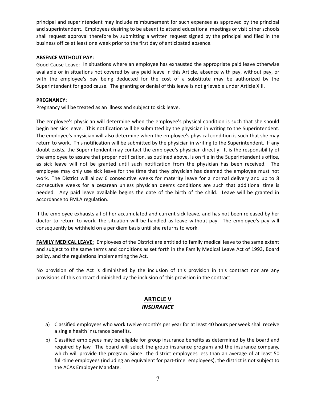principal and superintendent may include reimbursement for such expenses as approved by the principal and superintendent. Employees desiring to be absent to attend educational meetings or visit other schools shall request approval therefore by submitting a written request signed by the principal and filed in the business office at least one week prior to the first day of anticipated absence.

#### **ABSENCE WITHOUT PAY:**

Good Cause Leave: In situations where an employee has exhausted the appropriate paid leave otherwise available or in situations not covered by any paid leave in this Article, absence with pay, without pay, or with the employee's pay being deducted for the cost of a substitute may be authorized by the Superintendent for good cause. The granting or denial of this leave is not grievable under Article XIII.

## **PREGNANCY:**

Pregnancy will be treated as an illness and subject to sick leave.

The employee's physician will determine when the employee's physical condition is such that she should begin her sick leave. This notification will be submitted by the physician in writing to the Superintendent. The employee's physician will also determine when the employee's physical condition is such that she may return to work. This notification will be submitted by the physician in writing to the Superintendent. If any doubt exists, the Superintendent may contact the employee's physician directly. It is the responsibility of the employee to assure that proper notification, as outlined above, is on file in the Superintendent's office, as sick leave will not be granted until such notification from the physician has been received. The employee may only use sick leave for the time that they physician has deemed the employee must not work. The District will allow 6 consecutive weeks for materity leave for a normal delivery and up to 8 consecutive weeks for a cesarean unless physician deems conditions are such that additional time is needed. Any paid leave available begins the date of the birth of the child. Leave will be granted in accordance to FMLA regulation.

If the employee exhausts all of her accumulated and current sick leave, and has not been released by her doctor to return to work, the situation will be handled as leave without pay. The employee's pay will consequently be withheld on a per diem basis until she returns to work.

**FAMILY MEDICAL LEAVE:** Employees of the District are entitled to family medical leave to the same extent and subject to the same terms and conditions as set forth in the Family Medical Leave Act of 1993, Board policy, and the regulations implementing the Act.

No provision of the Act is diminished by the inclusion of this provision in this contract nor are any provisions of this contract diminished by the inclusion of this provision in the contract.

# **ARTICLE V** *INSURANCE*

- a) Classified employees who work twelve month's per year for at least 40 hours per week shall receive a single health insurance benefits.
- b) Classified employees may be eligible for group insurance benefits as determined by the board and required by law. The board will select the group insurance program and the insurance company, which will provide the program. Since the district employees less than an average of at least 50 full-time employees (including an equivalent for part-time employees), the district is not subject to the ACAs Employer Mandate.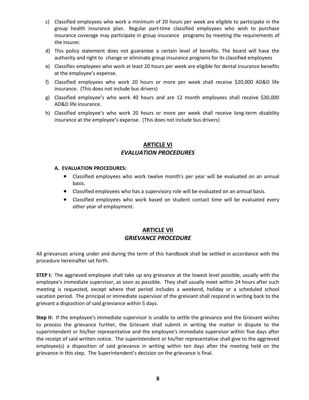- c) Classified employees who work a minimum of 20 hours per week are eligible to participate in the group health insurance plan. Regular part-time classified employees who wish to purchase insurance coverage may participate in group insurance programs by meeting the requirements of the insurer.
- d) This policy statement does not guarantee a certain level of benefits. The board will have the authority and right to change or eliminate group insurance programs for its classified employees
- e) Classifies employees who work at least 20 hours per week are eligible for dental insurance benefits at the employee's expense.
- f) Classified employees who work 20 hours or more per week shall receive \$20,000 AD&D life insurance. (This does not include bus drivers)
- g) Classified employee's who work 40 hours and are 12 month employees shall receive \$30,000 AD&D life insurance.
- h) Classified employee's who work 20 hours or more per week shall receive long-term disability insurance at the employee's expense. (This does not include bus drivers)

# **ARTICLE VI** *EVALUATION PROCEDURES*

## **A. EVALUATION PROCEDURES:**

- Classified employees who work twelve month's per year will be evaluated on an annual basis.
- Classified employees who has a supervisory role will be evaluated on an annual basis.
- Classified employees who work based on student contact time will be evaluated every other year of employment.

# **ARTICLE VII** *GRIEVANCE PROCEDURE*

All grievances arising under and during the term of this handbook shall be settled in accordance with the procedure hereinafter set forth.

**STEP I:** The aggrieved employee shall take up any grievance at the lowest level possible, usually with the employee's immediate supervisor, as soon as possible. They shall usually meet within 24 hours after such meeting is requested, except where that period includes a weekend, holiday or a scheduled school vacation period. The principal or immediate supervisor of the greiviant shall respond in writing back to the grievant a disposition of said grieviance within 5 days.

**Step II:** If the employee's immediate supervisor is unable to settle the grievance and the Grievant wishes to process the grievance further, the Grievant shall submit in writing the matter in dispute to the superintendent or his/her representative and the employee's immediate supervisor within five days after the receipt of said written notice. The superintendent or his/her representative shall give to the aggrieved employee(s) a disposition of said grievance in writing within ten days after the meeting held on the grievance in this step. The Superintendent's decision on the grievance is final.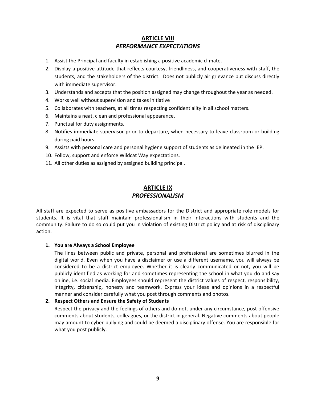# **ARTICLE VIII** *PERFORMANCE EXPECTATIONS*

- 1. Assist the Principal and faculty in establishing a positive academic climate.
- 2. Display a positive attitude that reflects courtesy, friendliness, and cooperativeness with staff, the students, and the stakeholders of the district. Does not publicly air grievance but discuss directly with immediate supervisor.
- 3. Understands and accepts that the position assigned may change throughout the year as needed.
- 4. Works well without supervision and takes initiative
- 5. Collaborates with teachers, at all times respecting confidentiality in all school matters.
- 6. Maintains a neat, clean and professional appearance.
- 7. Punctual for duty assignments.
- 8. Notifies immediate supervisor prior to departure, when necessary to leave classroom or building during paid hours.
- 9. Assists with personal care and personal hygiene support of students as delineated in the IEP.
- 10. Follow, support and enforce Wildcat Way expectations.
- 11. All other duties as assigned by assigned building principal.

## **ARTICLE IX** *PROFESSIONALISM*

All staff are expected to serve as positive ambassadors for the District and appropriate role models for students. It is vital that staff maintain professionalism in their interactions with students and the community. Failure to do so could put you in violation of existing District policy and at risk of disciplinary action.

#### **1. You are Always a School Employee**

The lines between public and private, personal and professional are sometimes blurred in the digital world. Even when you have a disclaimer or use a different username, you will always be considered to be a district employee. Whether it is clearly communicated or not, you will be publicly identified as working for and sometimes representing the school in what you do and say online, i.e. social media. Employees should represent the district values of respect, responsibility, integrity, citizenship, honesty and teamwork. Express your ideas and opinions in a respectful manner and consider carefully what you post through comments and photos.

#### **2. Respect Others and Ensure the Safety of Students**

Respect the privacy and the feelings of others and do not, under any circumstance, post offensive comments about students, colleagues, or the district in general. Negative comments about people may amount to cyber-bullying and could be deemed a disciplinary offense. You are responsible for what you post publicly.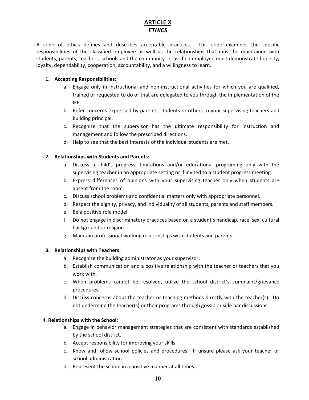# **ARTICLE X** *ETHICS*

A code of ethics defines and describes acceptable practices. This code examines the specific responsibilities of the classified employee as well as the relationships that must be maintained with students, parents, teachers, schools and the community. Classified employee must demonstrate honesty, loyalty, dependability, cooperation, accountability, and a willingness to learn.

## **1. Accepting Responsibilities:**

- a. Engage only in instructional and non-instructional activities for which you are qualified, trained or requested to do or that are delegated to you through the implementation of the IEP.
- b. Refer concerns expressed by parents, students or others to your supervising teachers and building principal.
- c. Recognize that the supervisor has the ultimate responsibility for instruction and management and follow the prescribed directions.
- d. Help to see that the best interests of the individual students are met.

## **2. Relationships with Students and Parents:**

- a. Discuss a child's progress, limitations and/or educational programing only with the supervising teacher in an appropriate setting or if invited to a student progress meeting.
- b. Express differences of opinions with your supervising teacher only when students are absent from the room.
- c. Discuss school problems and confidential matters only with appropriate personnel.
- d. Respect the dignity, privacy, and individuality of all students, parents and staff members.
- e. Be a positive role model.
- f. Do not engage in discriminatory practices based on a student's handicap, race, sex, cultural background or religion.
- g. Maintain professional working relationships with students and parents.

## **3. Relationships with Teachers:**

- a. Recognize the building administrator as your supervisor.
- b. Establish communication and a positive relationship with the teacher or teachers that you work with.
- c. When problems cannot be resolved, utilize the school district's complaint/grievance procedures.
- d. Discuss concerns about the teacher or teaching methods directly with the teacher(s). Do not undermine the teacher(s) or their programs through gossip or side bar discussions.

## 4. **Relationships with the School:**

- a. Engage in behavior management strategies that are consistent with standards established by the school district.
- b. Accept responsibility for improving your skills.
- c. Know and follow school policies and procedures. If unsure please ask your teacher or school administration.
- d. Represent the school in a positive manner at all times.